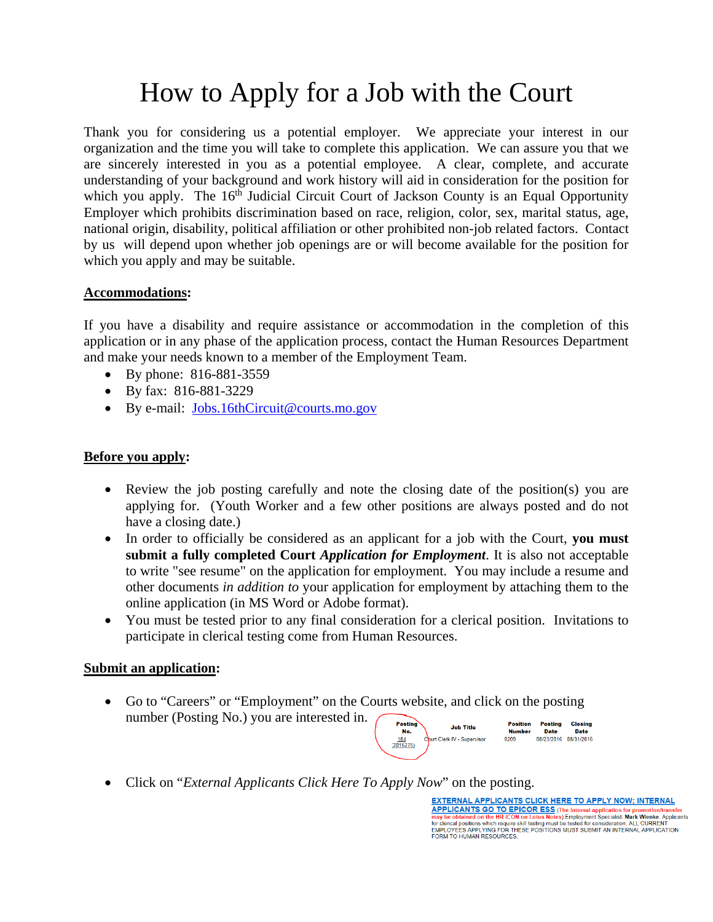## How to Apply for a Job with the Court

Thank you for considering us a potential employer. We appreciate your interest in our organization and the time you will take to complete this application. We can assure you that we are sincerely interested in you as a potential employee. A clear, complete, and accurate understanding of your background and work history will aid in consideration for the position for which you apply. The  $16<sup>th</sup>$  Judicial Circuit Court of Jackson County is an Equal Opportunity Employer which prohibits discrimination based on race, religion, color, sex, marital status, age, national origin, disability, political affiliation or other prohibited non-job related factors. Contact by us will depend upon whether job openings are or will become available for the position for which you apply and may be suitable.

## **Accommodations:**

If you have a disability and require assistance or accommodation in the completion of this application or in any phase of the application process, contact the Human Resources Department and make your needs known to a member of the Employment Team.

- By phone: 816-881-3559
- By fax: 816-881-3229
- By e-mail: Jobs.16thCircuit@courts.mo.gov

## **Before you apply:**

- Review the job posting carefully and note the closing date of the position(s) you are applying for. (Youth Worker and a few other positions are always posted and do not have a closing date.)
- In order to officially be considered as an applicant for a job with the Court, **you must submit a fully completed Court** *Application for Employment*. It is also not acceptable to write "see resume" on the application for employment. You may include a resume and other documents *in addition to* your application for employment by attaching them to the online application (in MS Word or Adobe format).
- You must be tested prior to any final consideration for a clerical position. Invitations to participate in clerical testing come from Human Resources.

## **Submit an application:**

 Go to "Careers" or "Employment" on the Courts website, and click on the posting number (Posting No.) you are interested in. Posting **Position** 



Click on "*External Applicants Click Here To Apply Now*" on the posting.

**EXTERNAL APPLICANTS CLICK HERE TO APPLY NOW: INTERNAL EXTERNAL APPLICANTS CLICK HERE TO APPLY NOW, INTERNAL APPLICANTS CLICK HERE TO APPLY NOW, INTERNAL THE MANUSCRIPT OF A PROPERTY APPROXIMATES**<br>The proposition of the HR ICON on Lotus Notes) Employment Specialist: Mark Wien may be obtained on the HK ICON on Lotus Notes) Employment Specialist: Mark Wienke. Applica<br>for clerical positions which require skill testing must be tested for consideration. ALL CURRENT<br>EMPLOYEES APPLYING FOR THESE POSIT